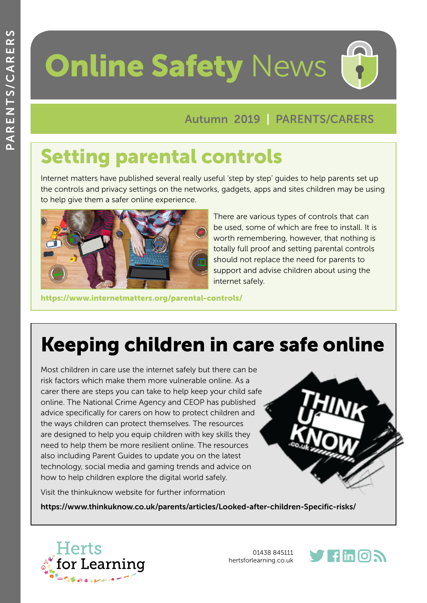# **Online Safety News**

#### Autumn 2019 | PARENTS/CARERS

## Setting parental controls

Internet matters have published several really useful 'step by step' guides to help parents set up the controls and privacy settings on the networks, gadgets, apps and sites children may be using to help give them a safer online experience.



There are various types of controls that can be used, some of which are free to install. It is worth remembering, however, that nothing is totally full proof and setting parental controls should not replace the need for parents to support and advise children about using the internet safely.

[https://www.internetmatters.org/parental-controls/](https://www.internetmatters.org/parental-controls/ )

# Keeping children in care safe online

Most children in care use the internet safely but there can be risk factors which make them more vulnerable online. As a carer there are steps you can take to help keep your child safe online. The National Crime Agency and CEOP has published advice specifically for carers on how to protect children and the ways children can protect themselves. The resources are designed to help you equip children with key skills they need to help them be more resilient online. The resources also including Parent Guides to update you on the latest technology, social media and gaming trends and advice on how to help children explore the digital world safely.

Visit the thinkuknow website for further information

https://www.thinkuknow.co.uk/parents/articles/Looked-after-children-Specific-risks/



01438 845111 [hertsforlearning.co.uk](http://www.hertsforlearning.co.uk)